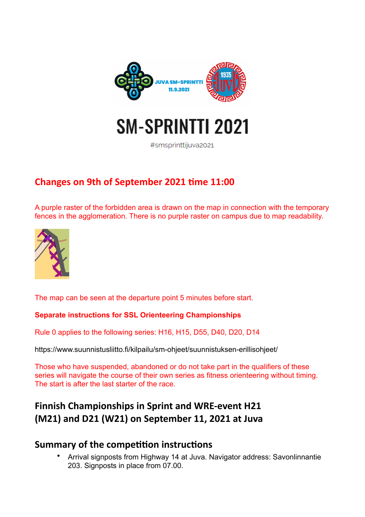

# **SM-SPRINTTI 2021**

#smsprinttiiuva2021

# **Changes on 9th of September 2021 time 11:00**

A purple raster of the forbidden area is drawn on the map in connection with the temporary fences in the agglomeration. There is no purple raster on campus due to map readability.



The map can be seen at the departure point 5 minutes before start.

## **Separate instructions for SSL Orienteering Championships**

Rule 0 applies to the following series: H16, H15, D55, D40, D20, D14

<https://www.suunnistusliitto.fi/kilpailu/sm-ohjeet/suunnistuksen-erillisohjeet/>

Those who have suspended, abandoned or do not take part in the qualifiers of these series will navigate the course of their own series as fitness orienteering without timing. The start is after the last starter of the race.

# **Finnish Championships in Sprint and WRE-event H21 (M21) and D21 (W21) on September 11, 2021 at Juva**

# **Summary of the competition instructions**

• Arrival signposts from Highway 14 at Juva. Navigator address: Savonlinnantie 203. Signposts in place from 07.00.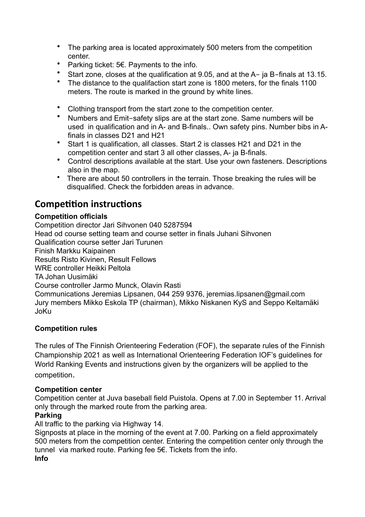- The parking area is located approximately 500 meters from the competition center.
- Parking ticket: 5€. Payments to the info.
- Start zone, closes at the qualification at 9.05, and at the A- ja B-finals at 13.15.
- The distance to the qualifaction start zone is 1800 meters, for the finals 1100 meters. The route is marked in the ground by white lines.
- Clothing transport from the start zone to the competition center.
- Numbers and Emit-safety slips are at the start zone. Same numbers will be used in qualification and in A- and B-finals.. Own safety pins. Number bibs in Afinals in classes D21 and H21
- Start 1 is qualification, all classes. Start 2 is classes H21 and D21 in the competition center and start 3 all other classes, A- ja B-finals.
- Control descriptions available at the start. Use your own fasteners. Descriptions also in the map.
- There are about 50 controllers in the terrain. Those breaking the rules will be disqualified. Check the forbidden areas in advance.

# **Competition instructions**

# **Competition officials**

Competition director Jari Sihvonen 040 5287594 Head od course setting team and course setter in finals Juhani Sihvonen Qualification course setter Jari Turunen Finish Markku Kaipainen Results Risto Kivinen, Result Fellows WRE controller Heikki Peltola TA Johan Uusimäki Course controller Jarmo Munck, Olavin Rasti Communications Jeremias Lipsanen, 044 259 9376, jeremias.lipsanen@gmail.com Jury members Mikko Eskola TP (chairman), Mikko Niskanen KyS and Seppo Keltamäki JoKu

## **Competition rules**

The rules of The Finnish Orienteering Federation (FOF), the separate rules of the Finnish Championship 2021 as well as International Orienteering Federation IOF's guidelines for World Ranking Events and instructions given by the organizers will be applied to the competition.

## **Competition center**

Competition center at Juva baseball field Puistola. Opens at 7.00 in September 11. Arrival only through the marked route from the parking area.

# **Parking**

All traffic to the parking via Highway 14.

Signposts at place in the morning of the event at 7.00. Parking on a field approximately 500 meters from the competition center. Entering the competition center only through the tunnel via marked route. Parking fee 5€. Tickets from the info. **Info**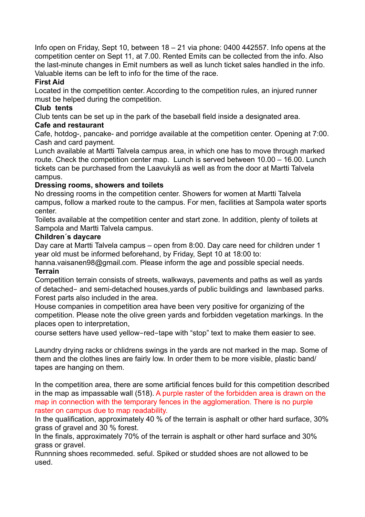Info open on Friday, Sept 10, between 18 – 21 via phone: 0400 442557. Info opens at the competition center on Sept 11, at 7.00. Rented Emits can be collected from the info. Also the last-minute changes in Emit numbers as well as lunch ticket sales handled in the info. Valuable items can be left to info for the time of the race.

## **First Aid**

Located in the competition center. According to the competition rules, an injured runner must be helped during the competition.

## **Club tents**

Club tents can be set up in the park of the baseball field inside a designated area.

# **Cafe and restaurant**

Cafe, hotdog-, pancake- and porridge available at the competition center. Opening at 7:00. Cash and card payment.

Lunch available at Martti Talvela campus area, in which one has to move through marked route. Check the competition center map. Lunch is served between 10.00 – 16.00. Lunch tickets can be purchased from the Laavukylä as well as from the door at Martti Talvela campus.

# **Dressing rooms, showers and toilets**

No dressing rooms in the competition center. Showers for women at Martti Talvela campus, follow a marked route to the campus. For men, facilities at Sampola water sports center.

Toilets available at the competition center and start zone. In addition, plenty of toilets at Sampola and Martti Talvela campus.

## **Children´s daycare**

Day care at Martti Talvela campus – open from 8:00. Day care need for children under 1 year old must be informed beforehand, by Friday, Sept 10 at 18:00 to:

hanna.vaisanen98@gmail.com. Please inform the age and possible special needs.

## **Terrain**

Competition terrain consists of streets, walkways, pavements and paths as well as yards of detached- and semi-detached houses,yards of public buildings and lawnbased parks. Forest parts also included in the area.

House companies in competition area have been very positive for organizing of the competition. Please note the olive green yards and forbidden vegetation markings. In the places open to interpretation,

course setters have used yellow-red-tape with "stop" text to make them easier to see.

Laundry drying racks or chlidrens swings in the yards are not marked in the map. Some of them and the clothes lines are fairly low. In order them to be more visible, plastic band/ tapes are hanging on them.

In the competition area, there are some artificial fences build for this competition described in the map as impassable wall (518). A purple raster of the forbidden area is drawn on the map in connection with the temporary fences in the agglomeration. There is no purple raster on campus due to map readability.

In the qualification, approximately 40 % of the terrain is asphalt or other hard surface, 30% grass of gravel and 30 % forest.

In the finals, approximately 70% of the terrain is asphalt or other hard surface and 30% grass or gravel.

Runnning shoes recommeded. seful. Spiked or studded shoes are not allowed to be used.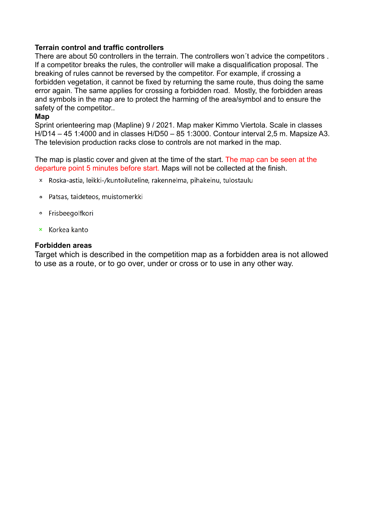#### **Terrain control and traffic controllers**

There are about 50 controllers in the terrain. The controllers won´t advice the competitors . If a competitor breaks the rules, the controller will make a disqualification proposal. The breaking of rules cannot be reversed by the competitor. For example, if crossing a forbidden vegetation, it cannot be fixed by returning the same route, thus doing the same error again. The same applies for crossing a forbidden road. Mostly, the forbidden areas and symbols in the map are to protect the harming of the area/symbol and to ensure the safety of the competitor..

#### **Map**

Sprint orienteering map (Mapline) 9 / 2021. Map maker Kimmo Viertola. Scale in classes H/D14 – 45 1:4000 and in classes H/D50 – 85 1:3000. Contour interval 2,5 m. Mapsize A3. The television production racks close to controls are not marked in the map.

The map is plastic cover and given at the time of the start. The map can be seen at the departure point 5 minutes before start. Maps will not be collected at the finish.

- × Roska-astia, leikki-/kuntoiluteline, rakennelma, pihakeinu, tulostaulu
- Patsas, taideteos, muistomerkki
- · Frisbeegolfkori
- × Korkea kanto

#### **Forbidden areas**

Target which is described in the competition map as a forbidden area is not allowed to use as a route, or to go over, under or cross or to use in any other way.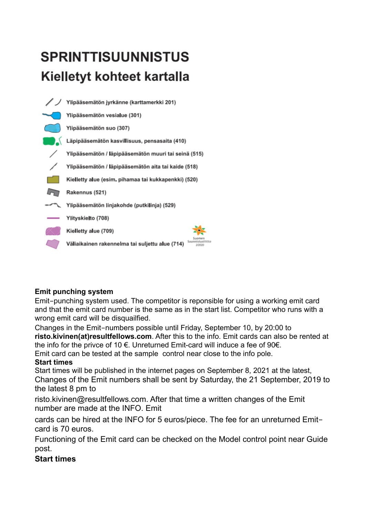# **SPRINTTISUUNNISTUS** Kielletyt kohteet kartalla



# **Emit punching system**

Emit-punching system used. The competitor is reponsible for using a working emit card and that the emit card number is the same as in the start list. Competitor who runs with a wrong emit card will be disquailfied.

Changes in the Emit-numbers possible until Friday, September 10, by 20:00 to **risto.kivinen(at)resultfellows.com**. After this to the info. Emit cards can also be rented at the info for the privce of 10  $\in$ . Unreturned Emit-card will induce a fee of 90 $\in$ .

# Emit card can be tested at the sample control near close to the info pole.

# **Start times**

Start times will be published in the internet pages on September 8, 2021 at the latest, Changes of the Emit numbers shall be sent by Saturday, the 21 September, 2019 to the latest 8 pm to

risto.kivinen@resultfellows.com. After that time a written changes of the Emit number are made at the INFO. Emit

cards can be hired at the INFO for 5 euros/piece. The fee for an unreturned Emitcard is 70 euros.

Functioning of the Emit card can be checked on the Model control point near Guide post.

# **Start times**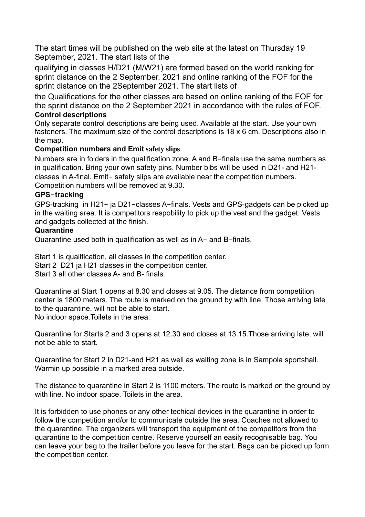The start times will be published on the web site at the latest on Thursday 19 September, 2021. The start lists of the

qualifying in classes H/D21 (M/W21) are formed based on the world ranking for sprint distance on the 2 September, 2021 and online ranking of the FOF for the sprint distance on the 2September 2021. The start lists of

the Qualifications for the other classes are based on online ranking of the FOF for the sprint distance on the 2 September 2021 in accordance with the rules of FOF. **Control descriptions**

Only separate control descriptions are being used. Available at the start. Use your own fasteners. The maximum size of the control descriptions is 18 x 6 cm. Descriptions also in the map.

# **Competition numbers and Emit safety slips**

Numbers are in folders in the qualification zone. A and B-finals use the same numbers as in qualification. Bring your own safety pins. Number bibs will be used in D21- and H21 classes in A-final. Emit- safety slips are available near the competition numbers. Competition numbers will be removed at 9.30.

#### **GPS-tracking**

GPS-tracking in H21- ja D21-classes A-finals. Vests and GPS-gadgets can be picked up in the waiting area. It is competitors respobility to pick up the vest and the gadget. Vests and gadgets collected at the finish.

#### **Quarantine**

Quarantine used both in qualification as well as in A- and B-finals.

Start 1 is qualification, all classes in the competition center. Start 2 D21 ja H21 classes in the competition center. Start 3 all other classes A- and B- finals.

Quarantine at Start 1 opens at 8.30 and closes at 9.05. The distance from competition center is 1800 meters. The route is marked on the ground by with line. Those arriving late to the quarantine, will not be able to start. No indoor space.Toilets in the area.

Quarantine for Starts 2 and 3 opens at 12.30 and closes at 13.15.Those arriving late, will not be able to start.

Quarantine for Start 2 in D21-and H21 as well as waiting zone is in Sampola sportshall. Warmin up possible in a marked area outside.

The distance to quarantine in Start 2 is 1100 meters. The route is marked on the ground by with line. No indoor space. Toilets in the area.

It is forbidden to use phones or any other techical devices in the quarantine in order to follow the competition and/or to communicate outside the area. Coaches not allowed to the quarantine. The organizers will transport the equipment of the competitors from the quarantine to the competition centre. Reserve yourself an easily recognisable bag. You can leave your bag to the trailer before you leave for the start. Bags can be picked up form the competition center.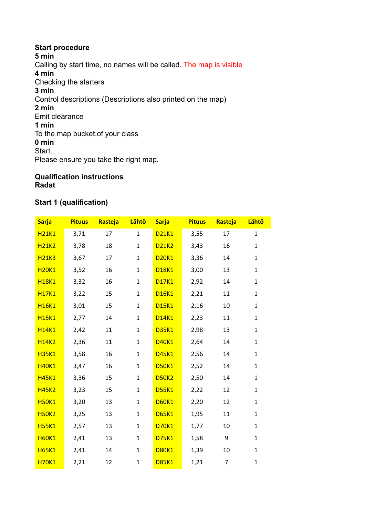**Start procedure 5 min** Calling by start time, no names will be called. The map is visible **4 min** Checking the starters **3 min** Control descriptions (Descriptions also printed on the map) **2 min** Emit clearance **1 min** To the map bucket.of your class **0 min** Start. Please ensure you take the right map.

#### **Qualification instructions Radat**

## **Start 1 (qualification)**

| <b>Sarja</b> | <b>Pituus</b> | Rasteja | Lähtö        | <b>Sarja</b> | <b>Pituus</b> | Rasteja | Lähtö        |
|--------------|---------------|---------|--------------|--------------|---------------|---------|--------------|
| <b>H21K1</b> | 3,71          | 17      | $\mathbf{1}$ | <b>D21K1</b> | 3,55          | 17      | $\mathbf{1}$ |
| <b>H21K2</b> | 3,78          | 18      | $\mathbf{1}$ | <b>D21K2</b> | 3,43          | 16      | $\mathbf{1}$ |
| <b>H21K3</b> | 3,67          | 17      | $\mathbf{1}$ | <b>D20K1</b> | 3,36          | 14      | $\mathbf{1}$ |
| <b>H20K1</b> | 3,52          | 16      | $\mathbf{1}$ | <b>D18K1</b> | 3,00          | 13      | $\mathbf{1}$ |
| <b>H18K1</b> | 3,32          | 16      | $\mathbf{1}$ | <b>D17K1</b> | 2,92          | 14      | $\mathbf{1}$ |
| <b>H17K1</b> | 3,22          | 15      | $\mathbf{1}$ | <b>D16K1</b> | 2,21          | 11      | $\mathbf{1}$ |
| <b>H16K1</b> | 3,01          | 15      | $\mathbf{1}$ | <b>D15K1</b> | 2,16          | 10      | $\mathbf{1}$ |
| <b>H15K1</b> | 2,77          | 14      | $\mathbf{1}$ | <b>D14K1</b> | 2,23          | 11      | $\mathbf{1}$ |
| <b>H14K1</b> | 2,42          | 11      | $\mathbf{1}$ | <b>D35K1</b> | 2,98          | 13      | $\mathbf{1}$ |
| <b>H14K2</b> | 2,36          | 11      | $\mathbf{1}$ | <b>D40K1</b> | 2,64          | 14      | $\mathbf{1}$ |
| <b>H35K1</b> | 3,58          | 16      | $\mathbf{1}$ | <b>D45K1</b> | 2,56          | 14      | $\mathbf{1}$ |
| <b>H40K1</b> | 3,47          | 16      | $\mathbf{1}$ | <b>D50K1</b> | 2,52          | 14      | $\mathbf{1}$ |
| <b>H45K1</b> | 3,36          | 15      | $\mathbf{1}$ | <b>D50K2</b> | 2,50          | 14      | $\mathbf{1}$ |
| <b>H45K2</b> | 3,23          | 15      | $\mathbf{1}$ | <b>D55K1</b> | 2,22          | 12      | $\mathbf{1}$ |
| <b>H50K1</b> | 3,20          | 13      | $\mathbf{1}$ | <b>D60K1</b> | 2,20          | 12      | $\mathbf{1}$ |
| <b>H50K2</b> | 3,25          | 13      | $\mathbf{1}$ | <b>D65K1</b> | 1,95          | 11      | $\mathbf{1}$ |
| <b>H55K1</b> | 2,57          | 13      | $\mathbf{1}$ | <b>D70K1</b> | 1,77          | 10      | $\mathbf{1}$ |
| <b>H60K1</b> | 2,41          | 13      | $\mathbf{1}$ | <b>D75K1</b> | 1,58          | 9       | $\mathbf{1}$ |
| <b>H65K1</b> | 2,41          | 14      | 1            | <b>D80K1</b> | 1,39          | 10      | $\mathbf{1}$ |
| <b>H70K1</b> | 2,21          | 12      | $\mathbf{1}$ | <b>D85K1</b> | 1,21          | 7       | $\mathbf{1}$ |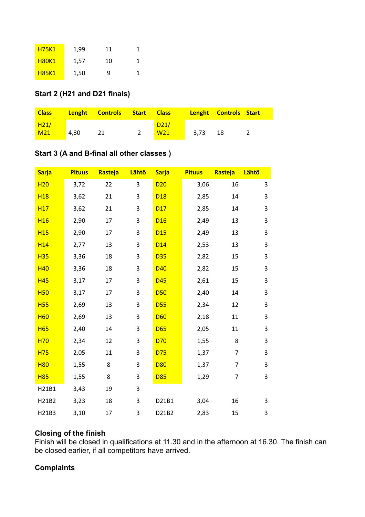| <b>H75K1</b> | 1,99 | 11 |  |
|--------------|------|----|--|
| <b>H80K1</b> | 1,57 | 10 |  |
| <b>H85K1</b> | 1,50 | q  |  |

#### **Start 2 (H21 and D21 finals)**

| <b>Class</b>    |      | <b>Lenght Controls Start Class</b> |                 |      | <b>Lenght Controls Start</b> |  |
|-----------------|------|------------------------------------|-----------------|------|------------------------------|--|
| H21/            |      |                                    | D21/            |      |                              |  |
| M <sub>21</sub> | 4.30 |                                    | W <sub>21</sub> | 3.73 | -18                          |  |

# **Start 3 (A and B-final all other classes )**

| <b>Sarja</b>    | <b>Pituus</b> | Rasteja | Lähtö | <b>Sarja</b>    | <b>Pituus</b> | Rasteja        | Lähtö |
|-----------------|---------------|---------|-------|-----------------|---------------|----------------|-------|
| H <sub>20</sub> | 3,72          | 22      | 3     | D20             | 3,06          | 16             | 3     |
| <b>H18</b>      | 3,62          | 21      | 3     | D <sub>18</sub> | 2,85          | 14             | 3     |
| H <sub>17</sub> | 3,62          | 21      | 3     | D17             | 2,85          | 14             | 3     |
| H <sub>16</sub> | 2,90          | 17      | 3     | D <sub>16</sub> | 2,49          | 13             | 3     |
| <b>H15</b>      | 2,90          | 17      | 3     | D15             | 2,49          | 13             | 3     |
| H <sub>14</sub> | 2,77          | 13      | 3     | D <sub>14</sub> | 2,53          | 13             | 3     |
| <b>H35</b>      | 3,36          | 18      | 3     | <b>D35</b>      | 2,82          | 15             | 3     |
| <b>H40</b>      | 3,36          | 18      | 3     | D40             | 2,82          | 15             | 3     |
| <b>H45</b>      | 3,17          | 17      | 3     | D45             | 2,61          | 15             | 3     |
| <b>H50</b>      | 3,17          | 17      | 3     | <b>D50</b>      | 2,40          | 14             | 3     |
| <b>H55</b>      | 2,69          | 13      | 3     | <b>D55</b>      | 2,34          | 12             | 3     |
| <b>H60</b>      | 2,69          | 13      | 3     | <b>D60</b>      | 2,18          | 11             | 3     |
| <b>H65</b>      | 2,40          | 14      | 3     | <b>D65</b>      | 2,05          | 11             | 3     |
| H70             | 2,34          | 12      | 3     | D70             | 1,55          | 8              | 3     |
| <b>H75</b>      | 2,05          | 11      | 3     | D75             | 1,37          | $\overline{7}$ | 3     |
| <b>H80</b>      | 1,55          | 8       | 3     | <b>D80</b>      | 1,37          | $\overline{7}$ | 3     |
| <b>H85</b>      | 1,55          | 8       | 3     | <b>D85</b>      | 1,29          | $\overline{7}$ | 3     |
| H21B1           | 3,43          | 19      | 3     |                 |               |                |       |
| H21B2           | 3,23          | 18      | 3     | D21B1           | 3,04          | 16             | 3     |
| H21B3           | 3,10          | 17      | 3     | D21B2           | 2,83          | 15             | 3     |

#### **Closing of the finish**

Finish will be closed in qualifications at 11.30 and in the afternoon at 16.30. The finish can be closed earlier, if all competitors have arrived.

#### **Complaints**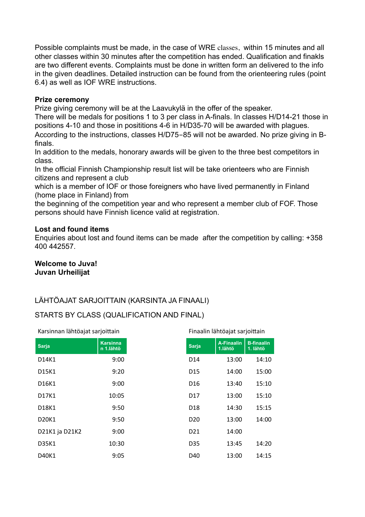Possible complaints must be made, in the case of WRE classes, within 15 minutes and all other classes within 30 minutes after the competition has ended. Qualification and finakls are two different events. Complaints must be done in written form an delivered to the info in the given deadlines. Detailed instruction can be found from the orienteering rules (point 6.4) as well as IOF WRE instructions.

#### **Prize ceremony**

Prize giving ceremony will be at the Laavukylä in the offer of the speaker.

There will be medals for positions 1 to 3 per class in A-finals. In classes H/D14-21 those in positions 4-10 and those in posititions 4-6 in H/D35-70 will be awarded with plagues. According to the instructions, classes H/D75-85 will not be awarded. No prize giving in Bfinals.

In addition to the medals, honorary awards will be given to the three best competitors in class.

In the official Finnish Championship result list will be take orienteers who are Finnish citizens and represent a club

which is a member of IOF or those foreigners who have lived permanently in Finland (home place in Finland) from

the beginning of the competition year and who represent a member club of FOF. Those persons should have Finnish licence valid at registration.

#### **Lost and found items**

Enquiries about lost and found items can be made after the competition by calling: +358 400 442557.

#### **Welcome to Juva! Juvan Urheilijat**

# LÄHTÖAJAT SARJOITTAIN (KARSINTA JA FINAALI)

# STARTS BY CLASS (QUALIFICATION AND FINAL)

| Karsinnan lähtöajat sarjoittain |                              | Finaalin lähtöajat sarjoittain |                              |                               |
|---------------------------------|------------------------------|--------------------------------|------------------------------|-------------------------------|
| <b>Sarja</b>                    | <b>Karsinna</b><br>n 1.lähtö | <b>Sarja</b>                   | <b>A-Finaalin</b><br>1.lähtö | <b>B-finaalin</b><br>1. lähtö |
| D14K1                           | 9:00                         | D <sub>14</sub>                | 13:00                        | 14:10                         |
| D15K1                           | 9:20                         | D <sub>15</sub>                | 14:00                        | 15:00                         |
| D16K1                           | 9:00                         | D <sub>16</sub>                | 13:40                        | 15:10                         |
| D17K1                           | 10:05                        | D <sub>17</sub>                | 13:00                        | 15:10                         |
| D18K1                           | 9:50                         | D <sub>18</sub>                | 14:30                        | 15:15                         |
| D <sub>20</sub> K <sub>1</sub>  | 9:50                         | D <sub>20</sub>                | 13:00                        | 14:00                         |
| D21K1 ja D21K2                  | 9:00                         | D <sub>21</sub>                | 14:00                        |                               |
| D35K1                           | 10:30                        | D35                            | 13:45                        | 14:20                         |
| D40K1                           | 9:05                         | D40                            | 13:00                        | 14:15                         |